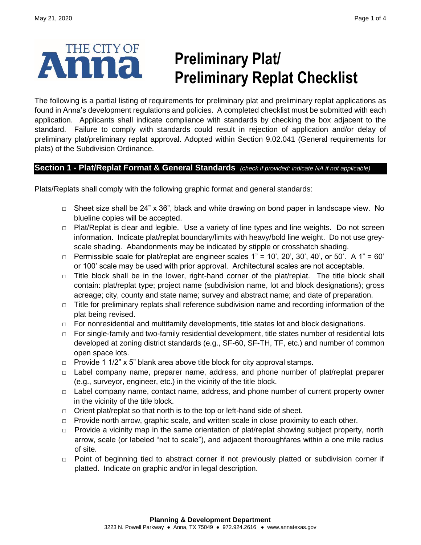

# **Preliminary Plat/ Preliminary Replat Checklist**

The following is a partial listing of requirements for preliminary plat and preliminary replat applications as found in Anna's development regulations and policies. A completed checklist must be submitted with each application. Applicants shall indicate compliance with standards by checking the box adjacent to the standard. Failure to comply with standards could result in rejection of application and/or delay of preliminary plat/preliminary replat approval. Adopted within Section 9.02.041 (General requirements for plats) of the Subdivision Ordinance.

### **Section 1 - Plat/Replat Format & General Standards** *(check if provided; indicate NA if not applicable)*

Plats/Replats shall comply with the following graphic format and general standards:

- **□** Sheet size shall be 24" x 36", black and white drawing on bond paper in landscape view. No blueline copies will be accepted.
- **□** Plat/Replat is clear and legible. Use a variety of line types and line weights. Do not screen information. Indicate plat/replat boundary/limits with heavy/bold line weight. Do not use greyscale shading. Abandonments may be indicated by stipple or crosshatch shading.
- **□** Permissible scale for plat/replat are engineer scales 1" = 10', 20', 30', 40', or 50'. A 1" = 60' or 100' scale may be used with prior approval. Architectural scales are not acceptable.
- **□** Title block shall be in the lower, right-hand corner of the plat/replat. The title block shall contain: plat/replat type; project name (subdivision name, lot and block designations); gross acreage; city, county and state name; survey and abstract name; and date of preparation.
- **□** Title for preliminary replats shall reference subdivision name and recording information of the plat being revised.
- **□** For nonresidential and multifamily developments, title states lot and block designations.
- **□** For single-family and two-family residential development, title states number of residential lots developed at zoning district standards (e.g., SF-60, SF-TH, TF, etc.) and number of common open space lots.
- **□** Provide 1 1/2" x 5" blank area above title block for city approval stamps.
- **□** Label company name, preparer name, address, and phone number of plat/replat preparer (e.g., surveyor, engineer, etc.) in the vicinity of the title block.
- **□** Label company name, contact name, address, and phone number of current property owner in the vicinity of the title block.
- **□** Orient plat/replat so that north is to the top or left-hand side of sheet.
- **□** Provide north arrow, graphic scale, and written scale in close proximity to each other.
- **□** Provide a vicinity map in the same orientation of plat/replat showing subject property, north arrow, scale (or labeled "not to scale"), and adjacent thoroughfares within a one mile radius of site.
- **□** Point of beginning tied to abstract corner if not previously platted or subdivision corner if platted. Indicate on graphic and/or in legal description.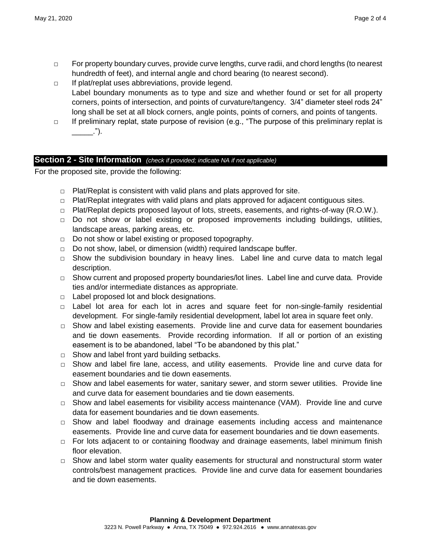- Page 2 of 4
- **□** For property boundary curves, provide curve lengths, curve radii, and chord lengths (to nearest hundredth of feet), and internal angle and chord bearing (to nearest second).
- **□** If plat/replat uses abbreviations, provide legend. Label boundary monuments as to type and size and whether found or set for all property corners, points of intersection, and points of curvature/tangency. 3/4" diameter steel rods 24" long shall be set at all block corners, angle points, points of corners, and points of tangents.
- **□** If preliminary replat, state purpose of revision (e.g., "The purpose of this preliminary replat is  $\cdot$ ").

## **Section 2 - Site Information** *(check if provided; indicate NA if not applicable)*

For the proposed site, provide the following:

- **□** Plat/Replat is consistent with valid plans and plats approved for site.
- **□** Plat/Replat integrates with valid plans and plats approved for adjacent contiguous sites.
- **□** Plat/Replat depicts proposed layout of lots, streets, easements, and rights-of-way (R.O.W.).
- **□** Do not show or label existing or proposed improvements including buildings, utilities, landscape areas, parking areas, etc.
- **□** Do not show or label existing or proposed topography.
- **□** Do not show, label, or dimension (width) required landscape buffer.
- **□** Show the subdivision boundary in heavy lines. Label line and curve data to match legal description.
- **□** Show current and proposed property boundaries/lot lines. Label line and curve data. Provide ties and/or intermediate distances as appropriate.
- **□** Label proposed lot and block designations.
- **□** Label lot area for each lot in acres and square feet for non-single-family residential development. For single-family residential development, label lot area in square feet only.
- **□** Show and label existing easements. Provide line and curve data for easement boundaries and tie down easements. Provide recording information. If all or portion of an existing easement is to be abandoned, label "To be abandoned by this plat."
- **□** Show and label front yard building setbacks.
- **□** Show and label fire lane, access, and utility easements. Provide line and curve data for easement boundaries and tie down easements.
- **□** Show and label easements for water, sanitary sewer, and storm sewer utilities. Provide line and curve data for easement boundaries and tie down easements.
- **□** Show and label easements for visibility access maintenance (VAM). Provide line and curve data for easement boundaries and tie down easements.
- **□** Show and label floodway and drainage easements including access and maintenance easements. Provide line and curve data for easement boundaries and tie down easements.
- **□** For lots adjacent to or containing floodway and drainage easements, label minimum finish floor elevation.
- **□** Show and label storm water quality easements for structural and nonstructural storm water controls/best management practices. Provide line and curve data for easement boundaries and tie down easements.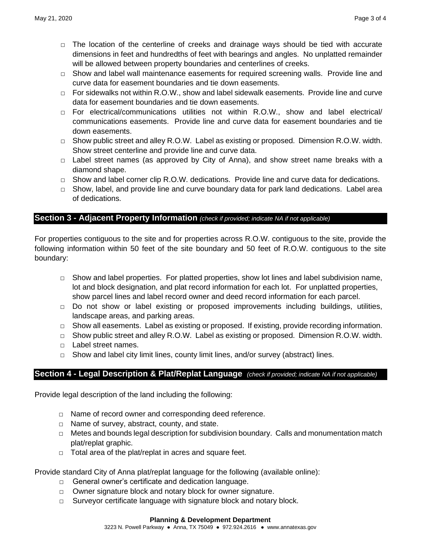- **□** The location of the centerline of creeks and drainage ways should be tied with accurate dimensions in feet and hundredths of feet with bearings and angles. No unplatted remainder will be allowed between property boundaries and centerlines of creeks.
- **□** Show and label wall maintenance easements for required screening walls. Provide line and curve data for easement boundaries and tie down easements.
- **□** For sidewalks not within R.O.W., show and label sidewalk easements. Provide line and curve data for easement boundaries and tie down easements.
- **□** For electrical/communications utilities not within R.O.W., show and label electrical/ communications easements. Provide line and curve data for easement boundaries and tie down easements.
- **□** Show public street and alley R.O.W. Label as existing or proposed. Dimension R.O.W. width. Show street centerline and provide line and curve data.
- **□** Label street names (as approved by City of Anna), and show street name breaks with a diamond shape.
- **□** Show and label corner clip R.O.W. dedications. Provide line and curve data for dedications.
- **□** Show, label, and provide line and curve boundary data for park land dedications. Label area of dedications.

## **Section 3 - Adjacent Property Information** *(check if provided; indicate NA if not applicable)*

For properties contiguous to the site and for properties across R.O.W. contiguous to the site, provide the following information within 50 feet of the site boundary and 50 feet of R.O.W. contiguous to the site boundary:

- **□** Show and label properties. For platted properties, show lot lines and label subdivision name, lot and block designation, and plat record information for each lot. For unplatted properties, show parcel lines and label record owner and deed record information for each parcel.
- **□** Do not show or label existing or proposed improvements including buildings, utilities, landscape areas, and parking areas.
- **□** Show all easements. Label as existing or proposed. If existing, provide recording information.
- **□** Show public street and alley R.O.W. Label as existing or proposed. Dimension R.O.W. width.
- **□** Label street names.
- **□** Show and label city limit lines, county limit lines, and/or survey (abstract) lines.

## **Section 4 - Legal Description & Plat/Replat Language** *(check if provided; indicate NA if not applicable)*

Provide legal description of the land including the following:

- **□** Name of record owner and corresponding deed reference.
- **□** Name of survey, abstract, county, and state.
- **□** Metes and bounds legal description for subdivision boundary. Calls and monumentation match plat/replat graphic.
- **□** Total area of the plat/replat in acres and square feet.

#### Provide standard City of Anna plat/replat language for the following (available online):

- **□** General owner's certificate and dedication language.
- **□** Owner signature block and notary block for owner signature.
- **□** Surveyor certificate language with signature block and notary block.

#### **Planning & Development Department**